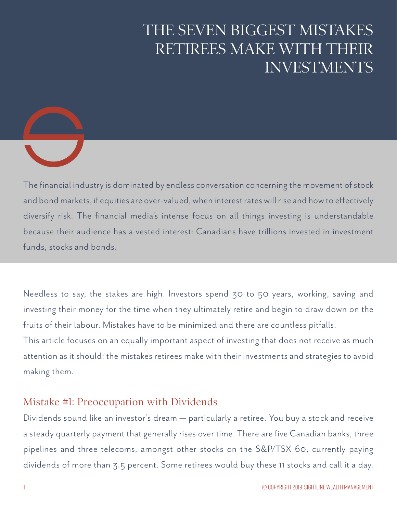# THE SEVEN BIGGEST MISTAKES RETIREES MAKE WITH THEIR INVESTMENTS



The financial industry is dominated by endless conversation concerning the movement of stock and bond markets, if equities are over-valued, when interest rates will rise and how to effectively diversify risk. The financial media's intense focus on all things investing is understandable because their audience has a vested interest: Canadians have trillions invested in investment funds, stocks and bonds.

Needless to say, the stakes are high. Investors spend 30 to 50 years, working, saving and investing their money for the time when they ultimately retire and begin to draw down on the fruits of their labour. Mistakes have to be minimized and there are countless pitfalls. This article focuses on an equally important aspect of investing that does not receive as much

attention as it should: the mistakes retirees make with their investments and strategies to avoid making them.

## Mistake #1: Preoccupation with Dividends

Dividends sound like an investor's dream — particularly a retiree. You buy a stock and receive a steady quarterly payment that generally rises over time. There are five Canadian banks, three pipelines and three telecoms, amongst other stocks on the S&P/TSX 60, currently paying dividends of more than 3.5 percent. Some retirees would buy these 11 stocks and call it a day.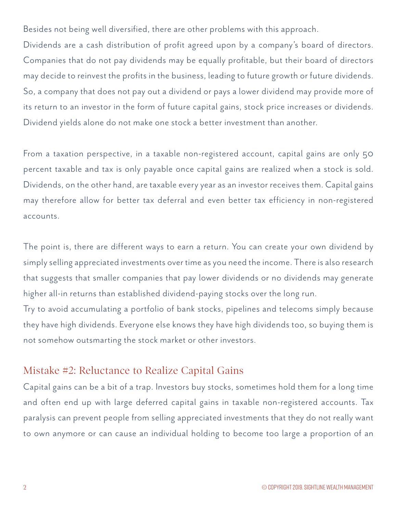Besides not being well diversified, there are other problems with this approach.

Dividends are a cash distribution of profit agreed upon by a company's board of directors. Companies that do not pay dividends may be equally profitable, but their board of directors may decide to reinvest the profits in the business, leading to future growth or future dividends. So, a company that does not pay out a dividend or pays a lower dividend may provide more of its return to an investor in the form of future capital gains, stock price increases or dividends. Dividend yields alone do not make one stock a better investment than another.

From a taxation perspective, in a taxable non-registered account, capital gains are only 50 percent taxable and tax is only payable once capital gains are realized when a stock is sold. Dividends, on the other hand, are taxable every year as an investor receives them. Capital gains may therefore allow for better tax deferral and even better tax efficiency in non-registered accounts.

The point is, there are different ways to earn a return. You can create your own dividend by simply selling appreciated investments over time as you need the income. There is also research that suggests that smaller companies that pay lower dividends or no dividends may generate higher all-in returns than established dividend-paying stocks over the long run.

Try to avoid accumulating a portfolio of bank stocks, pipelines and telecoms simply because they have high dividends. Everyone else knows they have high dividends too, so buying them is not somehow outsmarting the stock market or other investors.

#### Mistake #2: Reluctance to Realize Capital Gains

Capital gains can be a bit of a trap. Investors buy stocks, sometimes hold them for a long time and often end up with large deferred capital gains in taxable non-registered accounts. Tax paralysis can prevent people from selling appreciated investments that they do not really want to own anymore or can cause an individual holding to become too large a proportion of an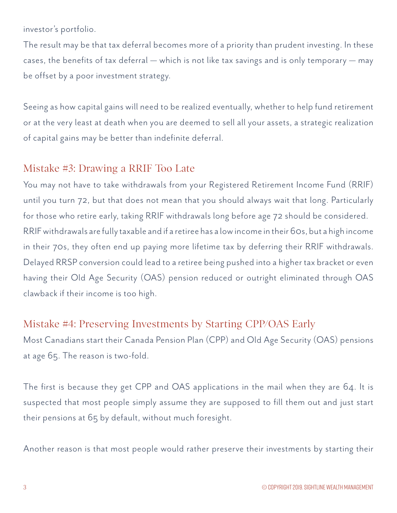investor's portfolio.

The result may be that tax deferral becomes more of a priority than prudent investing. In these cases, the benefits of tax deferral — which is not like tax savings and is only temporary — may be offset by a poor investment strategy.

Seeing as how capital gains will need to be realized eventually, whether to help fund retirement or at the very least at death when you are deemed to sell all your assets, a strategic realization of capital gains may be better than indefinite deferral.

## Mistake #3: Drawing a RRIF Too Late

You may not have to take withdrawals from your Registered Retirement Income Fund (RRIF) until you turn 72, but that does not mean that you should always wait that long. Particularly for those who retire early, taking RRIF withdrawals long before age 72 should be considered. RRIF withdrawals are fully taxable and if a retiree has a low income in their 60s, but a high income in their 70s, they often end up paying more lifetime tax by deferring their RRIF withdrawals. Delayed RRSP conversion could lead to a retiree being pushed into a higher tax bracket or even having their Old Age Security (OAS) pension reduced or outright eliminated through OAS clawback if their income is too high.

## Mistake #4: Preserving Investments by Starting CPP/OAS Early

Most Canadians start their Canada Pension Plan (CPP) and Old Age Security (OAS) pensions at age 65. The reason is two-fold.

The first is because they get CPP and OAS applications in the mail when they are 64. It is suspected that most people simply assume they are supposed to fill them out and just start their pensions at 65 by default, without much foresight.

Another reason is that most people would rather preserve their investments by starting their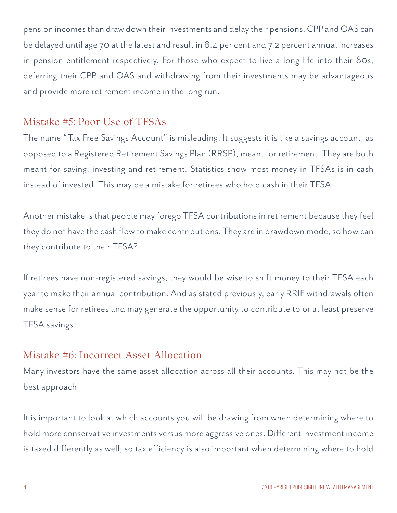pension incomes than draw down their investments and delay their pensions. CPP and OAS can be delayed until age 70 at the latest and result in 8.4 per cent and 7.2 percent annual increases in pension entitlement respectively. For those who expect to live a long life into their 80s, deferring their CPP and OAS and withdrawing from their investments may be advantageous and provide more retirement income in the long run.

## Mistake #5: Poor Use of TFSAs

The name "Tax Free Savings Account" is misleading. It suggests it is like a savings account, as opposed to a Registered Retirement Savings Plan (RRSP), meant for retirement. They are both meant for saving, investing and retirement. Statistics show most money in TFSAs is in cash instead of invested. This may be a mistake for retirees who hold cash in their TFSA.

Another mistake is that people may forego TFSA contributions in retirement because they feel they do not have the cash flow to make contributions. They are in drawdown mode, so how can they contribute to their TFSA?

If retirees have non-registered savings, they would be wise to shift money to their TFSA each year to make their annual contribution. And as stated previously, early RRIF withdrawals often make sense for retirees and may generate the opportunity to contribute to or at least preserve TFSA savings.

## Mistake #6: Incorrect Asset Allocation

Many investors have the same asset allocation across all their accounts. This may not be the best approach.

It is important to look at which accounts you will be drawing from when determining where to hold more conservative investments versus more aggressive ones. Different investment income is taxed differently as well, so tax efficiency is also important when determining where to hold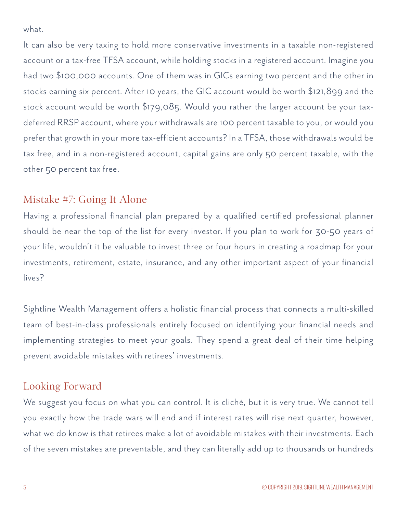what.

It can also be very taxing to hold more conservative investments in a taxable non-registered account or a tax-free TFSA account, while holding stocks in a registered account. Imagine you had two \$100,000 accounts. One of them was in GICs earning two percent and the other in stocks earning six percent. After 10 years, the GIC account would be worth \$121,899 and the stock account would be worth \$179,085. Would you rather the larger account be your taxdeferred RRSP account, where your withdrawals are 100 percent taxable to you, or would you prefer that growth in your more tax-efficient accounts? In a TFSA, those withdrawals would be tax free, and in a non-registered account, capital gains are only 50 percent taxable, with the other 50 percent tax free.

## Mistake #7: Going It Alone

Having a professional financial plan prepared by a qualified certified professional planner should be near the top of the list for every investor. If you plan to work for 30-50 years of your life, wouldn't it be valuable to invest three or four hours in creating a roadmap for your investments, retirement, estate, insurance, and any other important aspect of your financial lives?

Sightline Wealth Management offers a holistic financial process that connects a multi-skilled team of best-in-class professionals entirely focused on identifying your financial needs and implementing strategies to meet your goals. They spend a great deal of their time helping prevent avoidable mistakes with retirees' investments.

## Looking Forward

We suggest you focus on what you can control. It is cliché, but it is very true. We cannot tell you exactly how the trade wars will end and if interest rates will rise next quarter, however, what we do know is that retirees make a lot of avoidable mistakes with their investments. Each of the seven mistakes are preventable, and they can literally add up to thousands or hundreds